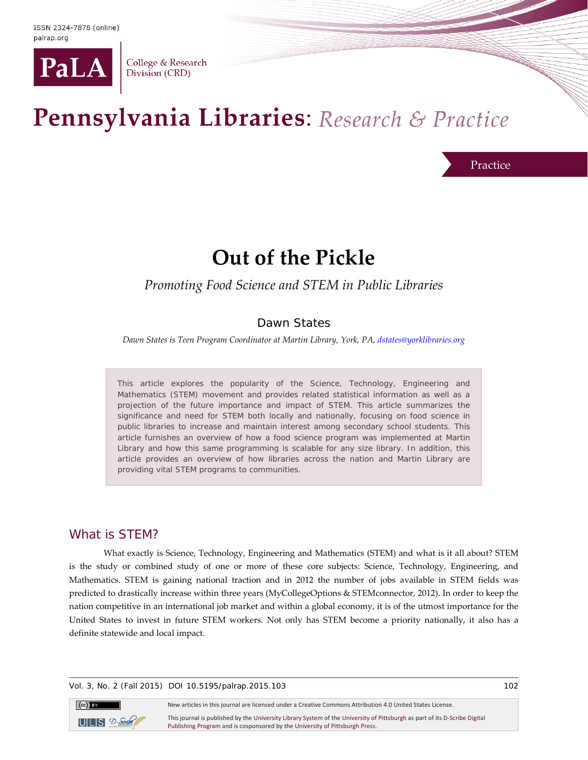

College & Research Division (CRD)

# Pennsylvania Libraries: Research & Practice

Practice

## **Out of the Pickle**

## *Promoting Food Science and STEM in Public Libraries*

## Dawn States

*Dawn States is Teen Program Coordinator at Martin Library, York, PA[, dstates@yorklibraries.org](mailto:dstates@yorklibraries.org)*

This article explores the popularity of the Science, Technology, Engineering and Mathematics (STEM) movement and provides related statistical information as well as a projection of the future importance and impact of STEM. This article summarizes the significance and need for STEM both locally and nationally, focusing on food science in public libraries to increase and maintain interest among secondary school students. This article furnishes an overview of how a food science program was implemented at Martin Library and how this same programming is scalable for any size library. In addition, this article provides an overview of how libraries across the nation and Martin Library are providing vital STEM programs to communities.

## What is STEM?

What exactly is Science, Technology, Engineering and Mathematics (STEM) and what is it all about? STEM is the study or combined study of one or more of these core subjects: Science, Technology, Engineering, and Mathematics. STEM is gaining national traction and in 2012 the number of jobs available in STEM fields was predicted to drastically increase within three years (MyCollegeOptions & STEMconnector, 2012). In order to keep the nation competitive in an international job market and within a global economy, it is of the utmost importance for the United States to invest in future STEM workers. Not only has STEM become a priority nationally, it also has a definite statewide and local impact.

#### Vol. 3, No. 2 (Fall 2015) DOI 10.5195/palrap.2015.103 102



New articles in this journal are licensed under a Creative Commons Attribution 4.0 United States License.

This journal is published by th[e University Library System](http://www.library.pitt.edu/) of th[e University of Pittsburgh](http://www.pitt.edu/) as part of it[s D-Scribe Digital](http://www.library.pitt.edu/d-scribe-digital-collections)  [Publishing Program](http://www.library.pitt.edu/d-scribe-digital-collections) and is cosponsored by th[e University of Pittsburgh Press.](http://upress.pitt.edu/)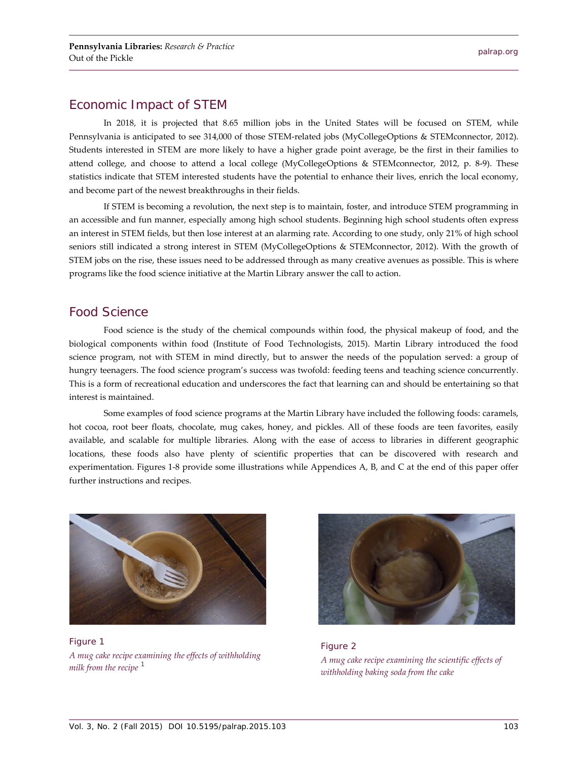## Economic Impact of STEM

In 2018, it is projected that 8.65 million jobs in the United States will be focused on STEM, while Pennsylvania is anticipated to see 314,000 of those STEM-related jobs (MyCollegeOptions & STEMconnector, 2012). Students interested in STEM are more likely to have a higher grade point average, be the first in their families to attend college, and choose to attend a local college (MyCollegeOptions & STEMconnector, 2012, p. 8-9). These statistics indicate that STEM interested students have the potential to enhance their lives, enrich the local economy, and become part of the newest breakthroughs in their fields.

If STEM is becoming a revolution, the next step is to maintain, foster, and introduce STEM programming in an accessible and fun manner, especially among high school students. Beginning high school students often express an interest in STEM fields, but then lose interest at an alarming rate. According to one study, only 21% of high school seniors still indicated a strong interest in STEM (MyCollegeOptions & STEMconnector, 2012). With the growth of STEM jobs on the rise, these issues need to be addressed through as many creative avenues as possible. This is where programs like the food science initiative at the Martin Library answer the call to action.

## Food Science

Food science is the study of the chemical compounds within food, the physical makeup of food, and the biological components within food (Institute of Food Technologists, 2015). Martin Library introduced the food science program, not with STEM in mind directly, but to answer the needs of the population served: a group of hungry teenagers. The food science program's success was twofold: feeding teens and teaching science concurrently. This is a form of recreational education and underscores the fact that learning can and should be entertaining so that interest is maintained.

Some examples of food science programs at the Martin Library have included the following foods: caramels, hot cocoa, root beer floats, chocolate, mug cakes, honey, and pickles. All of these foods are teen favorites, easily available, and scalable for multiple libraries. Along with the ease of access to libraries in different geographic locations, these foods also have plenty of scientific properties that can be discovered with research and experimentation. Figures 1-8 provide some illustrations while Appendices A, B, and C at the end of this paper offer further instructions and recipes.



Figure 1 *A mug cake recipe examining the effects of withholding milk from the recipe [1](#page-6-0)*



Figure 2 *A mug cake recipe examining the scientific effects of withholding baking soda from the cake*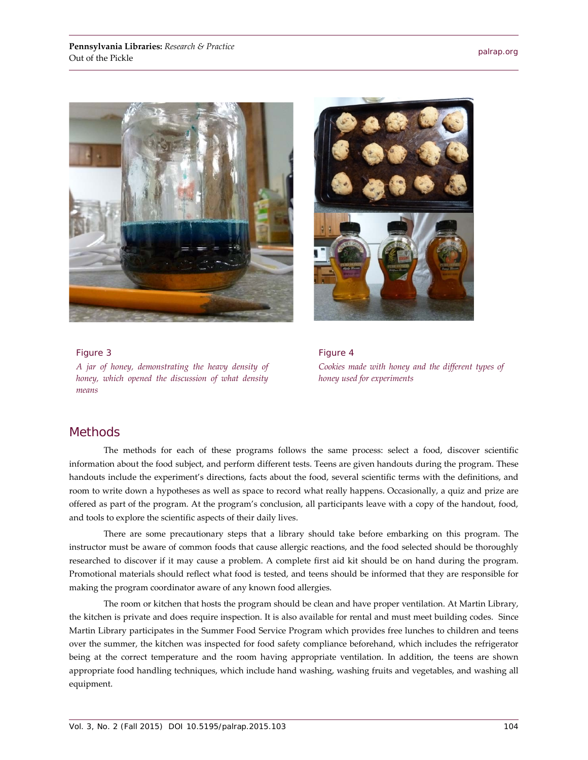



Figure 3 *A jar of honey, demonstrating the heavy density of honey, which opened the discussion of what density means*

Figure 4 *Cookies made with honey and the different types of honey used for experiments*

## **Methods**

The methods for each of these programs follows the same process: select a food, discover scientific information about the food subject, and perform different tests. Teens are given handouts during the program. These handouts include the experiment's directions, facts about the food, several scientific terms with the definitions, and room to write down a hypotheses as well as space to record what really happens. Occasionally, a quiz and prize are offered as part of the program. At the program's conclusion, all participants leave with a copy of the handout, food, and tools to explore the scientific aspects of their daily lives.

There are some precautionary steps that a library should take before embarking on this program. The instructor must be aware of common foods that cause allergic reactions, and the food selected should be thoroughly researched to discover if it may cause a problem. A complete first aid kit should be on hand during the program. Promotional materials should reflect what food is tested, and teens should be informed that they are responsible for making the program coordinator aware of any known food allergies.

The room or kitchen that hosts the program should be clean and have proper ventilation. At Martin Library, the kitchen is private and does require inspection. It is also available for rental and must meet building codes. Since Martin Library participates in the Summer Food Service Program which provides free lunches to children and teens over the summer, the kitchen was inspected for food safety compliance beforehand, which includes the refrigerator being at the correct temperature and the room having appropriate ventilation. In addition, the teens are shown appropriate food handling techniques, which include hand washing, washing fruits and vegetables, and washing all equipment.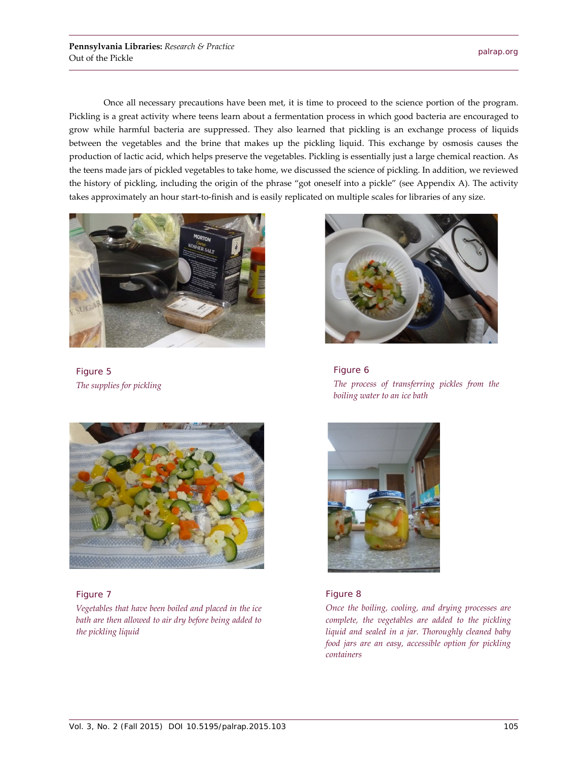Once all necessary precautions have been met, it is time to proceed to the science portion of the program. Pickling is a great activity where teens learn about a fermentation process in which good bacteria are encouraged to grow while harmful bacteria are suppressed. They also learned that pickling is an exchange process of liquids between the vegetables and the brine that makes up the pickling liquid. This exchange by osmosis causes the production of lactic acid, which helps preserve the vegetables. Pickling is essentially just a large chemical reaction. As the teens made jars of pickled vegetables to take home, we discussed the science of pickling. In addition, we reviewed the history of pickling, including the origin of the phrase "got oneself into a pickle" (see Appendix A). The activity takes approximately an hour start-to-finish and is easily replicated on multiple scales for libraries of any size.



Figure 5 *The supplies for pickling*



#### Figure 7

*Vegetables that have been boiled and placed in the ice bath are then allowed to air dry before being added to the pickling liquid*



Figure 6 *The process of transferring pickles from the boiling water to an ice bath*



#### Figure 8

*Once the boiling, cooling, and drying processes are complete, the vegetables are added to the pickling liquid and sealed in a jar. Thoroughly cleaned baby food jars are an easy, accessible option for pickling containers*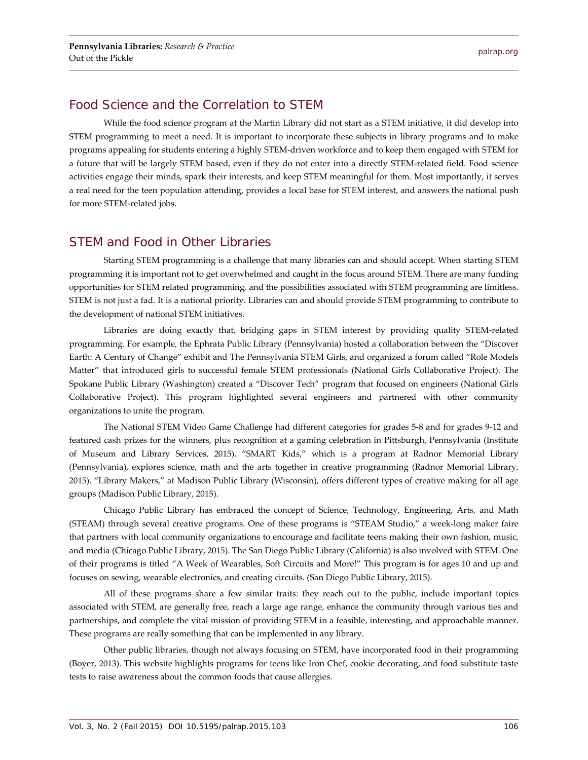## Food Science and the Correlation to STEM

While the food science program at the Martin Library did not start as a STEM initiative, it did develop into STEM programming to meet a need. It is important to incorporate these subjects in library programs and to make programs appealing for students entering a highly STEM-driven workforce and to keep them engaged with STEM for a future that will be largely STEM based, even if they do not enter into a directly STEM-related field. Food science activities engage their minds, spark their interests, and keep STEM meaningful for them. Most importantly, it serves a real need for the teen population attending, provides a local base for STEM interest, and answers the national push for more STEM-related jobs.

## STEM and Food in Other Libraries

Starting STEM programming is a challenge that many libraries can and should accept. When starting STEM programming it is important not to get overwhelmed and caught in the focus around STEM. There are many funding opportunities for STEM related programming, and the possibilities associated with STEM programming are limitless. STEM is not just a fad. It is a national priority. Libraries can and should provide STEM programming to contribute to the development of national STEM initiatives.

Libraries are doing exactly that, bridging gaps in STEM interest by providing quality STEM-related programming. For example, the Ephrata Public Library (Pennsylvania) hosted a collaboration between the "Discover Earth: A Century of Change" exhibit and The Pennsylvania STEM Girls, and organized a forum called "Role Models Matter" that introduced girls to successful female STEM professionals (National Girls Collaborative Project). The Spokane Public Library (Washington) created a "Discover Tech" program that focused on engineers (National Girls Collaborative Project). This program highlighted several engineers and partnered with other community organizations to unite the program.

The National STEM Video Game Challenge had different categories for grades 5-8 and for grades 9-12 and featured cash prizes for the winners, plus recognition at a gaming celebration in Pittsburgh, Pennsylvania (Institute of Museum and Library Services, 2015). "SMART Kids," which is a program at Radnor Memorial Library (Pennsylvania), explores science, math and the arts together in creative programming (Radnor Memorial Library, 2015). "Library Makers," at Madison Public Library (Wisconsin), offers different types of creative making for all age groups (Madison Public Library, 2015).

Chicago Public Library has embraced the concept of Science, Technology, Engineering, Arts, and Math (STEAM) through several creative programs. One of these programs is "STEAM Studio," a week-long maker faire that partners with local community organizations to encourage and facilitate teens making their own fashion, music, and media (Chicago Public Library, 2015). The San Diego Public Library (California) is also involved with STEM. One of their programs is titled "A Week of Wearables, Soft Circuits and More!" This program is for ages 10 and up and focuses on sewing, wearable electronics, and creating circuits. (San Diego Public Library, 2015).

All of these programs share a few similar traits: they reach out to the public, include important topics associated with STEM, are generally free, reach a large age range, enhance the community through various ties and partnerships, and complete the vital mission of providing STEM in a feasible, interesting, and approachable manner. These programs are really something that can be implemented in any library.

Other public libraries, though not always focusing on STEM, have incorporated food in their programming (Boyer, 2013). This website highlights programs for teens like Iron Chef, cookie decorating, and food substitute taste tests to raise awareness about the common foods that cause allergies.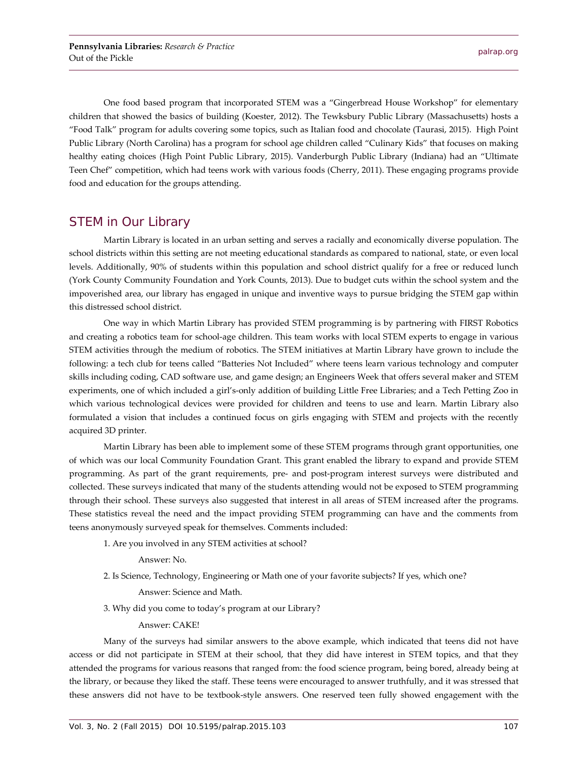One food based program that incorporated STEM was a "Gingerbread House Workshop" for elementary children that showed the basics of building (Koester, 2012). The Tewksbury Public Library (Massachusetts) hosts a "Food Talk" program for adults covering some topics, such as Italian food and chocolate (Taurasi, 2015). High Point Public Library (North Carolina) has a program for school age children called "Culinary Kids" that focuses on making healthy eating choices (High Point Public Library, 2015). Vanderburgh Public Library (Indiana) had an "Ultimate Teen Chef" competition, which had teens work with various foods (Cherry, 2011). These engaging programs provide food and education for the groups attending.

## STEM in Our Library

Martin Library is located in an urban setting and serves a racially and economically diverse population. The school districts within this setting are not meeting educational standards as compared to national, state, or even local levels. Additionally, 90% of students within this population and school district qualify for a free or reduced lunch (York County Community Foundation and York Counts, 2013). Due to budget cuts within the school system and the impoverished area, our library has engaged in unique and inventive ways to pursue bridging the STEM gap within this distressed school district.

One way in which Martin Library has provided STEM programming is by partnering with FIRST Robotics and creating a robotics team for school-age children. This team works with local STEM experts to engage in various STEM activities through the medium of robotics. The STEM initiatives at Martin Library have grown to include the following: a tech club for teens called "Batteries Not Included" where teens learn various technology and computer skills including coding, CAD software use, and game design; an Engineers Week that offers several maker and STEM experiments, one of which included a girl's-only addition of building Little Free Libraries; and a Tech Petting Zoo in which various technological devices were provided for children and teens to use and learn. Martin Library also formulated a vision that includes a continued focus on girls engaging with STEM and projects with the recently acquired 3D printer.

Martin Library has been able to implement some of these STEM programs through grant opportunities, one of which was our local Community Foundation Grant. This grant enabled the library to expand and provide STEM programming. As part of the grant requirements, pre- and post-program interest surveys were distributed and collected. These surveys indicated that many of the students attending would not be exposed to STEM programming through their school. These surveys also suggested that interest in all areas of STEM increased after the programs. These statistics reveal the need and the impact providing STEM programming can have and the comments from teens anonymously surveyed speak for themselves. Comments included:

1. Are you involved in any STEM activities at school?

Answer: No.

2. Is Science, Technology, Engineering or Math one of your favorite subjects? If yes, which one?

Answer: Science and Math.

3. Why did you come to today's program at our Library?

Answer: CAKE!

Many of the surveys had similar answers to the above example, which indicated that teens did not have access or did not participate in STEM at their school, that they did have interest in STEM topics, and that they attended the programs for various reasons that ranged from: the food science program, being bored, already being at the library, or because they liked the staff. These teens were encouraged to answer truthfully, and it was stressed that these answers did not have to be textbook-style answers. One reserved teen fully showed engagement with the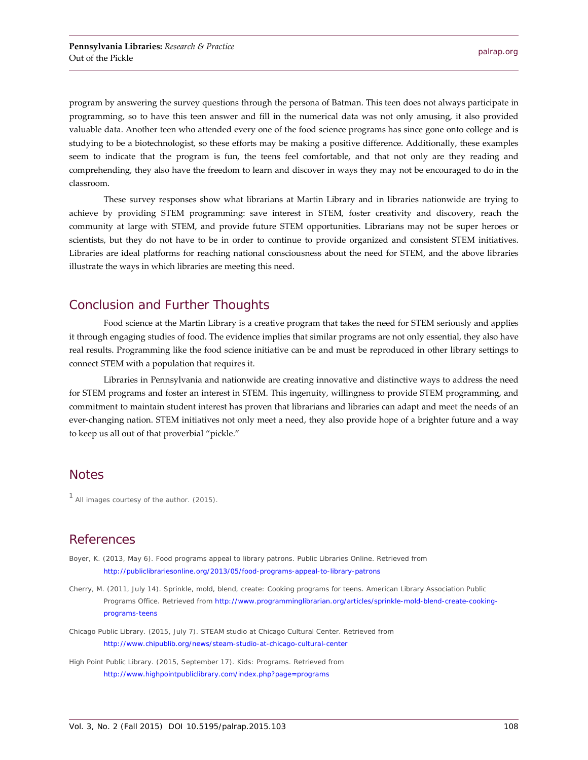program by answering the survey questions through the persona of Batman. This teen does not always participate in programming, so to have this teen answer and fill in the numerical data was not only amusing, it also provided valuable data. Another teen who attended every one of the food science programs has since gone onto college and is studying to be a biotechnologist, so these efforts may be making a positive difference. Additionally, these examples seem to indicate that the program is fun, the teens feel comfortable, and that not only are they reading and comprehending, they also have the freedom to learn and discover in ways they may not be encouraged to do in the classroom.

These survey responses show what librarians at Martin Library and in libraries nationwide are trying to achieve by providing STEM programming: save interest in STEM, foster creativity and discovery, reach the community at large with STEM, and provide future STEM opportunities. Librarians may not be super heroes or scientists, but they do not have to be in order to continue to provide organized and consistent STEM initiatives. Libraries are ideal platforms for reaching national consciousness about the need for STEM, and the above libraries illustrate the ways in which libraries are meeting this need.

## Conclusion and Further Thoughts

Food science at the Martin Library is a creative program that takes the need for STEM seriously and applies it through engaging studies of food. The evidence implies that similar programs are not only essential, they also have real results. Programming like the food science initiative can be and must be reproduced in other library settings to connect STEM with a population that requires it.

Libraries in Pennsylvania and nationwide are creating innovative and distinctive ways to address the need for STEM programs and foster an interest in STEM. This ingenuity, willingness to provide STEM programming, and commitment to maintain student interest has proven that librarians and libraries can adapt and meet the needs of an ever-changing nation. STEM initiatives not only meet a need, they also provide hope of a brighter future and a way to keep us all out of that proverbial "pickle."

#### **Notes**

<span id="page-6-0"></span><sup>1</sup> All images courtesy of the author. (2015).

## References

- Boyer, K. (2013, May 6). Food programs appeal to library patrons. *Public Libraries Online*. Retrieved from <http://publiclibrariesonline.org/2013/05/food-programs-appeal-to-library-patrons>
- Cherry, M. (2011, July 14). *Sprinkle, mold, blend, create: Cooking programs for teens*. American Library Association Public Programs Office. Retrieved from [http://www.programminglibrarian.org/articles/sprinkle-mold-blend-create-cooking](http://www.programminglibrarian.org/articles/sprinkle-mold-blend-create-cooking-programs-teens)[programs-teens](http://www.programminglibrarian.org/articles/sprinkle-mold-blend-create-cooking-programs-teens)
- Chicago Public Library. (2015, July 7). *STEAM studio at Chicago Cultural Center*. Retrieved from <http://www.chipublib.org/news/steam-studio-at-chicago-cultural-center>

High Point Public Library. (2015, September 17). Kids: Programs. Retrieved from <http://www.highpointpubliclibrary.com/index.php?page=programs>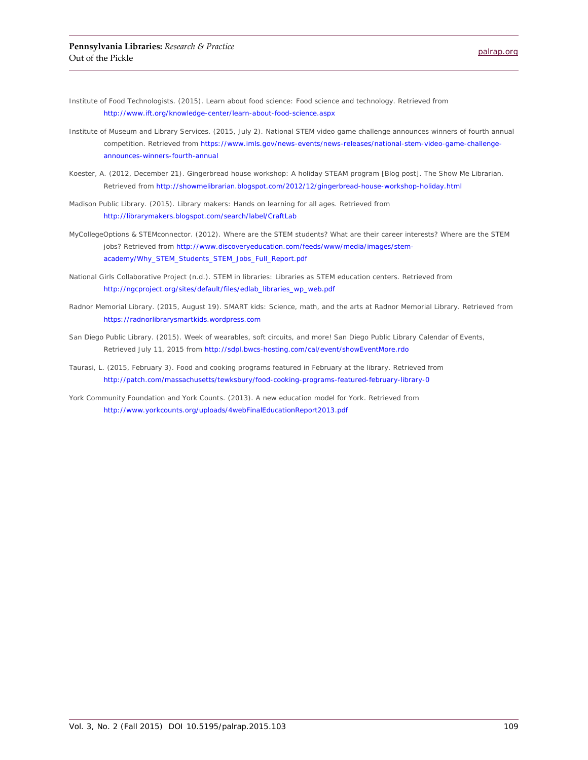Institute of Food Technologists. (2015). *Learn about food science: Food science and technology*. Retrieved from <http://www.ift.org/knowledge-center/learn-about-food-science.aspx>

- Institute of Museum and Library Services. (2015, July 2). *National STEM video game challenge announces winners of fourth annual competition*. Retrieved from [https://www.imls.gov/news-events/news-releases/national-stem-video-game-challenge](https://www.imls.gov/news-events/news-releases/national-stem-video-game-challenge-announces-winners-fourth-annual)[announces-winners-fourth-annual](https://www.imls.gov/news-events/news-releases/national-stem-video-game-challenge-announces-winners-fourth-annual)
- Koester, A. (2012, December 21). Gingerbread house workshop: A holiday STEAM program [Blog post]. *The Show Me Librarian*. Retrieved from<http://showmelibrarian.blogspot.com/2012/12/gingerbread-house-workshop-holiday.html>
- Madison Public Library. (2015). *Library makers: Hands on learning for all ages*. Retrieved from <http://librarymakers.blogspot.com/search/label/CraftLab>
- MyCollegeOptions & STEMconnector. (2012). *Where are the STEM students? What are their career interests? Where are the STEM jobs*? Retrieved from [http://www.discoveryeducation.com/feeds/www/media/images/stem](http://www.discoveryeducation.com/feeds/www/media/images/stem-academy/Why_STEM_Students_STEM_Jobs_Full_Report.pdf)[academy/Why\\_STEM\\_Students\\_STEM\\_Jobs\\_Full\\_Report.pdf](http://www.discoveryeducation.com/feeds/www/media/images/stem-academy/Why_STEM_Students_STEM_Jobs_Full_Report.pdf)
- National Girls Collaborative Project (n.d.). *STEM in libraries: Libraries as STEM education centers*. Retrieved from [http://ngcproject.org/sites/default/files/edlab\\_libraries\\_wp\\_web.pdf](http://ngcproject.org/sites/default/files/edlab_libraries_wp_web.pdf)
- Radnor Memorial Library. (2015, August 19). *SMART kids: Science, math, and the arts at Radnor Memorial Library*. Retrieved from [https://radnorlibrarysmartkids.wordpress.com](https://radnorlibrarysmartkids.wordpress.com/)
- San Diego Public Library. (2015). Week *of wearables, soft circuits, and more!* San Diego Public Library Calendar of Events, Retrieved July 11, 2015 from<http://sdpl.bwcs-hosting.com/cal/event/showEventMore.rdo>
- Taurasi, L. (2015, February 3). *Food and cooking programs featured in February at the library*. Retrieved from <http://patch.com/massachusetts/tewksbury/food-cooking-programs-featured-february-library-0>
- York Community Foundation and York Counts. (2013). *A new education model for York*. Retrieved from <http://www.yorkcounts.org/uploads/4webFinalEducationReport2013.pdf>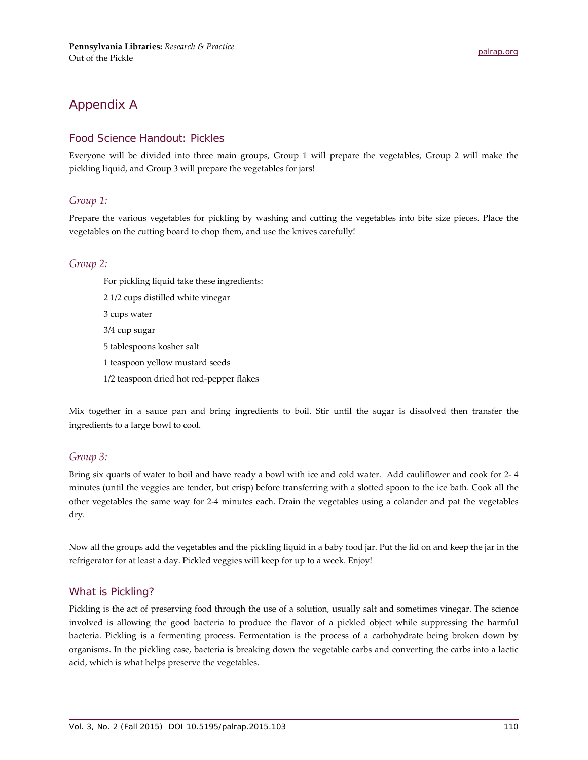## Appendix A

#### Food Science Handout: Pickles

Everyone will be divided into three main groups, Group 1 will prepare the vegetables, Group 2 will make the pickling liquid, and Group 3 will prepare the vegetables for jars!

#### *Group 1:*

Prepare the various vegetables for pickling by washing and cutting the vegetables into bite size pieces. Place the vegetables on the cutting board to chop them, and use the knives carefully!

#### *Group 2:*

For pickling liquid take these ingredients: 2 1/2 cups distilled white vinegar 3 cups water 3/4 cup sugar 5 tablespoons kosher salt 1 teaspoon yellow mustard seeds 1/2 teaspoon dried hot red-pepper flakes

Mix together in a sauce pan and bring ingredients to boil. Stir until the sugar is dissolved then transfer the ingredients to a large bowl to cool.

#### *Group 3:*

Bring six quarts of water to boil and have ready a bowl with ice and cold water. Add cauliflower and cook for 2- 4 minutes (until the veggies are tender, but crisp) before transferring with a slotted spoon to the ice bath. Cook all the other vegetables the same way for 2-4 minutes each. Drain the vegetables using a colander and pat the vegetables dry.

Now all the groups add the vegetables and the pickling liquid in a baby food jar. Put the lid on and keep the jar in the refrigerator for at least a day. Pickled veggies will keep for up to a week. Enjoy!

#### What is Pickling?

Pickling is the act of preserving food through the use of a solution, usually salt and sometimes vinegar. The science involved is allowing the good bacteria to produce the flavor of a pickled object while suppressing the harmful bacteria. Pickling is a fermenting process. Fermentation is the process of a carbohydrate being broken down by organisms. In the pickling case, bacteria is breaking down the vegetable carbs and converting the carbs into a lactic acid, which is what helps preserve the vegetables.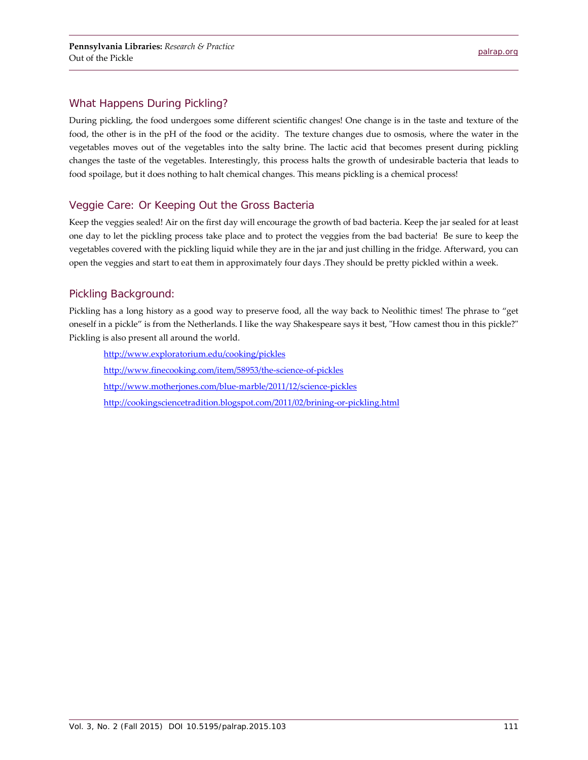#### What Happens During Pickling?

During pickling, the food undergoes some different scientific changes! One change is in the taste and texture of the food, the other is in the pH of the food or the acidity. The texture changes due to osmosis, where the water in the vegetables moves out of the vegetables into the salty brine. The lactic acid that becomes present during pickling changes the taste of the vegetables. Interestingly, this process halts the growth of undesirable bacteria that leads to food spoilage, but it does nothing to halt chemical changes. This means pickling is a chemical process!

#### Veggie Care: Or Keeping Out the Gross Bacteria

Keep the veggies sealed! Air on the first day will encourage the growth of bad bacteria. Keep the jar sealed for at least one day to let the pickling process take place and to protect the veggies from the bad bacteria! Be sure to keep the vegetables covered with the pickling liquid while they are in the jar and just chilling in the fridge. Afterward, you can open the veggies and start to eat them in approximately four days .They should be pretty pickled within a week.

#### Pickling Background:

Pickling has a long history as a good way to preserve food, all the way back to Neolithic times! The phrase to "get oneself in a pickle" is from the Netherlands. I like the way Shakespeare says it best, "How camest thou in this pickle?" Pickling is also present all around the world.

<http://www.exploratorium.edu/cooking/pickles> <http://www.finecooking.com/item/58953/the-science-of-pickles> <http://www.motherjones.com/blue-marble/2011/12/science-pickles> <http://cookingsciencetradition.blogspot.com/2011/02/brining-or-pickling.html>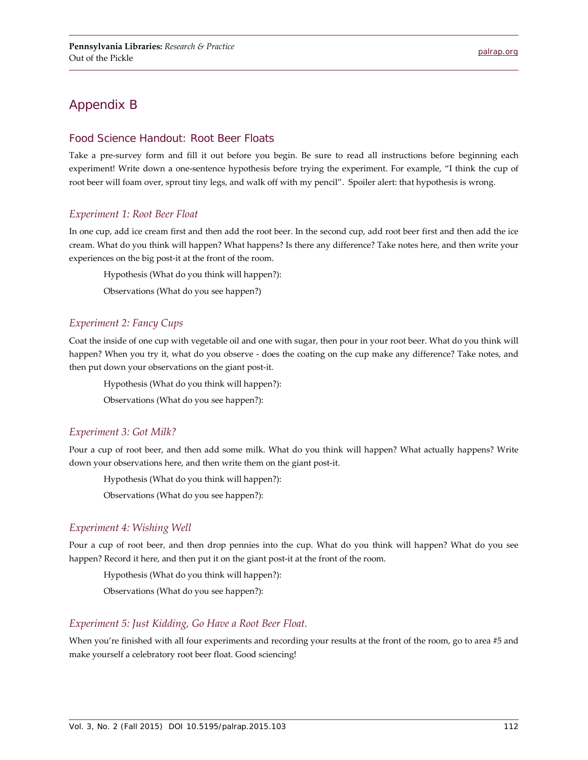## Appendix B

#### Food Science Handout: Root Beer Floats

Take a pre-survey form and fill it out before you begin. Be sure to read all instructions before beginning each experiment! Write down a one-sentence hypothesis before trying the experiment. For example, "I think the cup of root beer will foam over, sprout tiny legs, and walk off with my pencil". Spoiler alert: that hypothesis is wrong.

#### *Experiment 1: Root Beer Float*

In one cup, add ice cream first and then add the root beer. In the second cup, add root beer first and then add the ice cream. What do you think will happen? What happens? Is there any difference? Take notes here, and then write your experiences on the big post-it at the front of the room.

Hypothesis (What do you think will happen?):

Observations (What do you see happen?)

#### *Experiment 2: Fancy Cups*

Coat the inside of one cup with vegetable oil and one with sugar, then pour in your root beer. What do you think will happen? When you try it, what do you observe - does the coating on the cup make any difference? Take notes, and then put down your observations on the giant post-it.

Hypothesis (What do you think will happen?):

Observations (What do you see happen?):

#### *Experiment 3: Got Milk?*

Pour a cup of root beer, and then add some milk. What do you think will happen? What actually happens? Write down your observations here, and then write them on the giant post-it.

Hypothesis (What do you think will happen?):

Observations (What do you see happen?):

#### *Experiment 4: Wishing Well*

Pour a cup of root beer, and then drop pennies into the cup. What do you think will happen? What do you see happen? Record it here, and then put it on the giant post-it at the front of the room.

Hypothesis (What do you think will happen?):

Observations (What do you see happen?):

#### *Experiment 5: Just Kidding, Go Have a Root Beer Float.*

When you're finished with all four experiments and recording your results at the front of the room, go to area #5 and make yourself a celebratory root beer float. Good sciencing!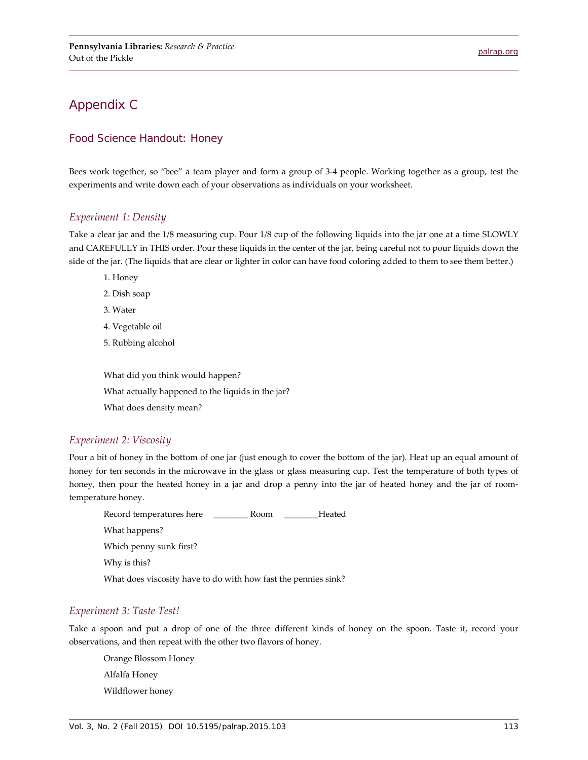## Appendix C

#### Food Science Handout: Honey

Bees work together, so "bee" a team player and form a group of 3-4 people. Working together as a group, test the experiments and write down each of your observations as individuals on your worksheet.

#### *Experiment 1: Density*

Take a clear jar and the 1/8 measuring cup. Pour 1/8 cup of the following liquids into the jar one at a time SLOWLY and CAREFULLY in THIS order. Pour these liquids in the center of the jar, being careful not to pour liquids down the side of the jar. (The liquids that are clear or lighter in color can have food coloring added to them to see them better.)

- 1. Honey
- 2. Dish soap
- 3. Water
- 4. Vegetable oil
- 5. Rubbing alcohol

What did you think would happen? What actually happened to the liquids in the jar? What does density mean?

#### *Experiment 2: Viscosity*

Pour a bit of honey in the bottom of one jar (just enough to cover the bottom of the jar). Heat up an equal amount of honey for ten seconds in the microwave in the glass or glass measuring cup. Test the temperature of both types of honey, then pour the heated honey in a jar and drop a penny into the jar of heated honey and the jar of roomtemperature honey.

Record temperatures here \_\_\_\_\_\_\_\_ Room \_\_\_\_\_\_\_\_Heated What happens? Which penny sunk first? Why is this? What does viscosity have to do with how fast the pennies sink?

#### *Experiment 3: Taste Test!*

Take a spoon and put a drop of one of the three different kinds of honey on the spoon. Taste it, record your observations, and then repeat with the other two flavors of honey.

Orange Blossom Honey Alfalfa Honey Wildflower honey